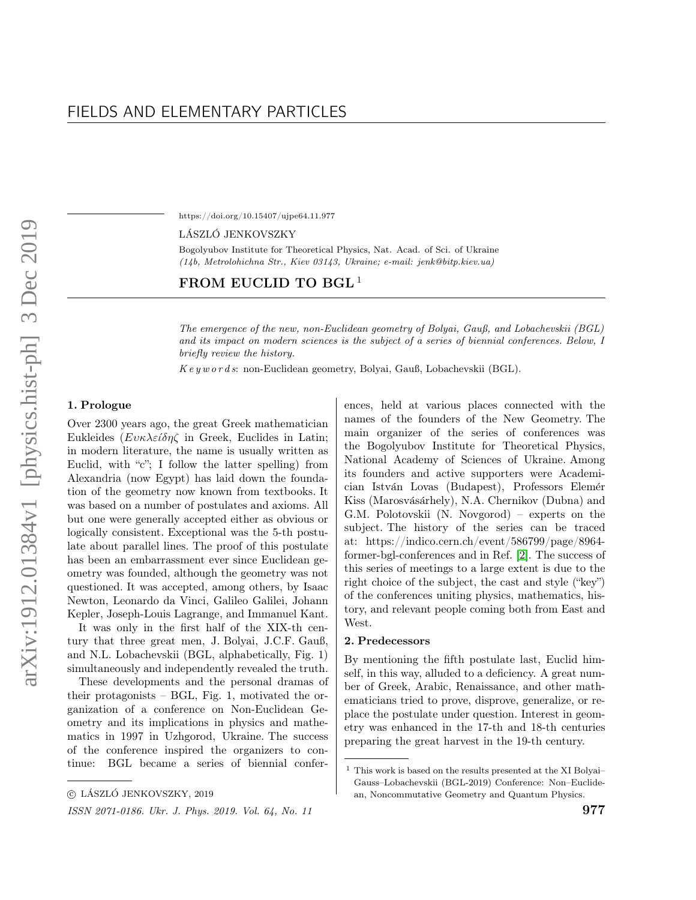https://doi.org/10.15407/ujpe64.11.977

LÁSZLÓ JENKOVSZKY

Bogolyubov Institute for Theoretical Physics, Nat. Acad. of Sci. of Ukraine (14b, Metrolohichna Str., Kiev 03143, Ukraine; e-mail: jenk@bitp.kiev.ua)

# FROM EUCLID TO BGL<sup>1</sup>

The emergence of the new, non-Euclidean geometry of Bolyai, Gauß, and Lobachevskii (BGL) and its impact on modern sciences is the subject of a series of biennial conferences. Below, I briefly review the history.

 $Keyw$  or ds: non-Euclidean geometry, Bolyai, Gauß, Lobachevskii (BGL).

## 1. Prologue

Over 2300 years ago, the great Greek mathematician Eukleides ( $E v \kappa \lambda \varepsilon \hat{\omega} \eta \zeta$  in Greek, Euclides in Latin; in modern literature, the name is usually written as Euclid, with "c"; I follow the latter spelling) from Alexandria (now Egypt) has laid down the foundation of the geometry now known from textbooks. It was based on a number of postulates and axioms. All but one were generally accepted either as obvious or logically consistent. Exceptional was the 5-th postulate about parallel lines. The proof of this postulate has been an embarrassment ever since Euclidean geometry was founded, although the geometry was not questioned. It was accepted, among others, by Isaac Newton, Leonardo da Vinci, Galileo Galilei, Johann Kepler, Joseph-Louis Lagrange, and Immanuel Kant.

It was only in the first half of the XIX-th century that three great men, J. Bolyai, J.C.F. Gauß, and N.L. Lobachevskii (BGL, alphabetically, Fig. 1) simultaneously and independently revealed the truth.

These developments and the personal dramas of their protagonists – BGL, Fig. 1, motivated the organization of a conference on Non-Euclidean Geometry and its implications in physics and mathematics in 1997 in Uzhgorod, Ukraine. The success of the conference inspired the organizers to continue: BGL became a series of biennial confer-

ISSN 2071-0186. Ukr. J. Phys. 2019. Vol. 64, No. 11  $977$ 

ences, held at various places connected with the names of the founders of the New Geometry. The main organizer of the series of conferences was the Bogolyubov Institute for Theoretical Physics, National Academy of Sciences of Ukraine. Among its founders and active supporters were Academician István Lovas (Budapest), Professors Elemér Kiss (Marosvásárhely), N.A. Chernikov (Dubna) and G.M. Polotovskii (N. Novgorod) – experts on the subject. The history of the series can be traced at: https://indico.cern.ch/event/586799/page/8964 former-bgl-conferences and in Ref. [\[2\]](#page-5-0). The success of this series of meetings to a large extent is due to the right choice of the subject, the cast and style ("key") of the conferences uniting physics, mathematics, history, and relevant people coming both from East and West.

### 2. Predecessors

By mentioning the fifth postulate last, Euclid himself, in this way, alluded to a deficiency. A great number of Greek, Arabic, Renaissance, and other mathematicians tried to prove, disprove, generalize, or replace the postulate under question. Interest in geometry was enhanced in the 17-th and 18-th centuries preparing the great harvest in the 19-th century.

 $©$  LÁSZLÓ JENKOVSZKY, 2019

 $^{\rm 1}$  This work is based on the results presented at the XI Bolyai– Gauss–Lobachevskii (BGL-2019) Conference: Non–Euclidean, Noncommutative Geometry and Quantum Physics.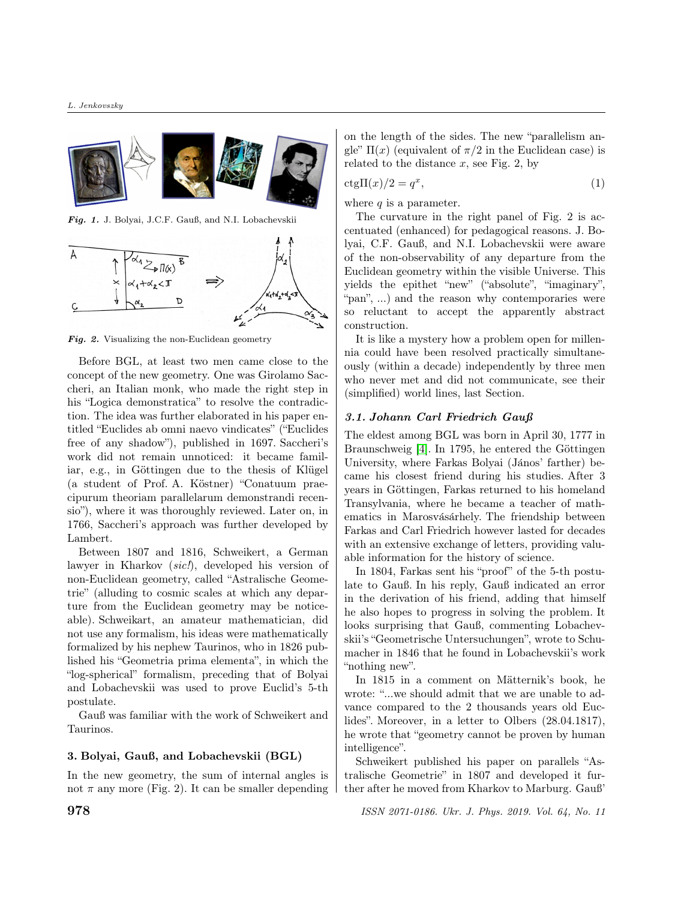

Fig. 1. J. Bolyai, J.C.F. Gauß, and N.I. Lobachevskii



Fig. 2. Visualizing the non-Euclidean geometry

Before BGL, at least two men came close to the concept of the new geometry. One was Girolamo Saccheri, an Italian monk, who made the right step in his "Logica demonstratica" to resolve the contradiction. The idea was further elaborated in his paper entitled "Euclides ab omni naevo vindicates" ("Euclides free of any shadow"), published in 1697. Saccheri's work did not remain unnoticed: it became familiar, e.g., in Göttingen due to the thesis of Klügel (a student of Prof. A. Köstner) "Conatuum praecipurum theoriam parallelarum demonstrandi recensio"), where it was thoroughly reviewed. Later on, in 1766, Saccheri's approach was further developed by Lambert.

Between 1807 and 1816, Schweikert, a German lawyer in Kharkov (sic!), developed his version of non-Euclidean geometry, called "Astralische Geometrie" (alluding to cosmic scales at which any departure from the Euclidean geometry may be noticeable). Schweikart, an amateur mathematician, did not use any formalism, his ideas were mathematically formalized by his nephew Taurinos, who in 1826 published his "Geometria prima elementa", in which the "log-spherical" formalism, preceding that of Bolyai and Lobachevskii was used to prove Euclid's 5-th postulate.

Gauß was familiar with the work of Schweikert and Taurinos.

### 3. Bolyai, Gauß, and Lobachevskii (BGL)

In the new geometry, the sum of internal angles is not  $\pi$  any more (Fig. 2). It can be smaller depending on the length of the sides. The new "parallelism angle"  $\Pi(x)$  (equivalent of  $\pi/2$  in the Euclidean case) is related to the distance  $x$ , see Fig. 2, by

$$
ctg\Pi(x)/2 = q^x,\t\t(1)
$$

where  $q$  is a parameter.

The curvature in the right panel of Fig. 2 is accentuated (enhanced) for pedagogical reasons. J. Bolyai, C.F. Gauß, and N.I. Lobachevskii were aware of the non-observability of any departure from the Euclidean geometry within the visible Universe. This yields the epithet "new" ("absolute", "imaginary", "pan", ...) and the reason why contemporaries were so reluctant to accept the apparently abstract construction.

It is like a mystery how a problem open for millennia could have been resolved practically simultaneously (within a decade) independently by three men who never met and did not communicate, see their (simplified) world lines, last Section.

## 3.1. Johann Carl Friedrich Gauß

The eldest among BGL was born in April 30, 1777 in Braunschweig [\[4\]](#page-5-1). In 1795, he entered the Göttingen University, where Farkas Bolyai (János' farther) became his closest friend during his studies. After 3 years in Göttingen, Farkas returned to his homeland Transylvania, where he became a teacher of mathematics in Marosvásárhely. The friendship between Farkas and Carl Friedrich however lasted for decades with an extensive exchange of letters, providing valuable information for the history of science.

In 1804, Farkas sent his "proof" of the 5-th postulate to Gauß. In his reply, Gauß indicated an error in the derivation of his friend, adding that himself he also hopes to progress in solving the problem. It looks surprising that Gauß, commenting Lobachevskii's "Geometrische Untersuchungen", wrote to Schumacher in 1846 that he found in Lobachevskii's work "nothing new".

In 1815 in a comment on Mätternik's book, he wrote: "...we should admit that we are unable to advance compared to the 2 thousands years old Euclides". Moreover, in a letter to Olbers (28.04.1817), he wrote that "geometry cannot be proven by human intelligence".

Schweikert published his paper on parallels "Astralische Geometrie" in 1807 and developed it further after he moved from Kharkov to Marburg. Gauß'

**978 ISSN 2071-0186. Ukr. J. Phys. 2019. Vol. 64, No. 11**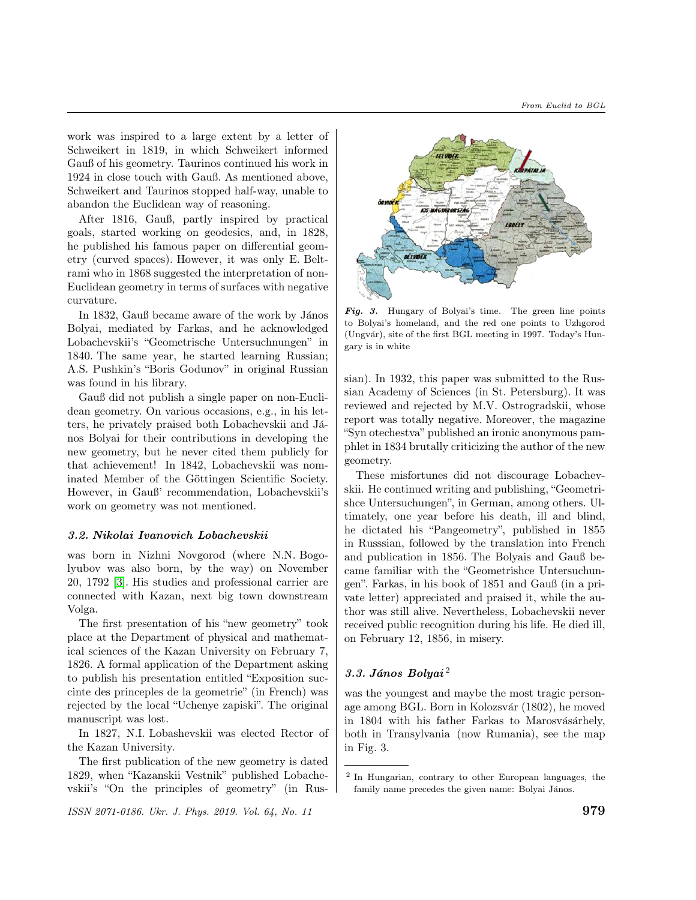work was inspired to a large extent by a letter of Schweikert in 1819, in which Schweikert informed Gauß of his geometry. Taurinos continued his work in 1924 in close touch with Gauß. As mentioned above, Schweikert and Taurinos stopped half-way, unable to abandon the Euclidean way of reasoning.

After 1816, Gauß, partly inspired by practical goals, started working on geodesics, and, in 1828, he published his famous paper on differential geometry (curved spaces). However, it was only E. Beltrami who in 1868 suggested the interpretation of non-Euclidean geometry in terms of surfaces with negative curvature.

In 1832, Gauß became aware of the work by János Bolyai, mediated by Farkas, and he acknowledged Lobachevskii's "Geometrische Untersuchnungen" in 1840. The same year, he started learning Russian; A.S. Pushkin's "Boris Godunov" in original Russian was found in his library.

Gauß did not publish a single paper on non-Euclidean geometry. On various occasions, e.g., in his letters, he privately praised both Lobachevskii and János Bolyai for their contributions in developing the new geometry, but he never cited them publicly for that achievement! In 1842, Lobachevskii was nominated Member of the Göttingen Scientific Society. However, in Gauß' recommendation, Lobachevskii's work on geometry was not mentioned.

### 3.2. Nikolai Ivanovich Lobachevskii

was born in Nizhni Novgorod (where N.N. Bogolyubov was also born, by the way) on November 20, 1792 [\[3\]](#page-5-2). His studies and professional carrier are connected with Kazan, next big town downstream Volga.

The first presentation of his "new geometry" took place at the Department of physical and mathematical sciences of the Kazan University on February 7, 1826. A formal application of the Department asking to publish his presentation entitled "Exposition succinte des princeples de la geometrie" (in French) was rejected by the local "Uchenye zapiski". The original manuscript was lost.

In 1827, N.I. Lobashevskii was elected Rector of the Kazan University.

The first publication of the new geometry is dated 1829, when "Kazanskii Vestnik" published Lobachevskii's "On the principles of geometry" (in Rus-

 $\frac{1}{2}$  ISSN 2071-0186. Ukr. J. Phys. 2019. Vol. 64, No. 11  $\frac{979}{2}$ 



Fig. 3. Hungary of Bolyai's time. The green line points to Bolyai's homeland, and the red one points to Uzhgorod (Ungvár), site of the first BGL meeting in 1997. Today's Hungary is in white

sian). In 1932, this paper was submitted to the Russian Academy of Sciences (in St. Petersburg). It was reviewed and rejected by M.V. Ostrogradskii, whose report was totally negative. Moreover, the magazine "Syn otechestva" published an ironic anonymous pamphlet in 1834 brutally criticizing the author of the new geometry.

These misfortunes did not discourage Lobachevskii. He continued writing and publishing, "Geometrishce Untersuchungen", in German, among others. Ultimately, one year before his death, ill and blind, he dictated his "Pangeometry", published in 1855 in Russsian, followed by the translation into French and publication in 1856. The Bolyais and Gauß became familiar with the "Geometrishce Untersuchungen". Farkas, in his book of 1851 and Gauß (in a private letter) appreciated and praised it, while the author was still alive. Nevertheless, Lobachevskii never received public recognition during his life. He died ill, on February 12, 1856, in misery.

# $3.3.$  János Bolyai<sup>2</sup>

was the youngest and maybe the most tragic personage among BGL. Born in Kolozsvár (1802), he moved in 1804 with his father Farkas to Marosvásárhely, both in Transylvania (now Rumania), see the map in Fig. 3.

<sup>2</sup> In Hungarian, contrary to other European languages, the family name precedes the given name: Bolyai János.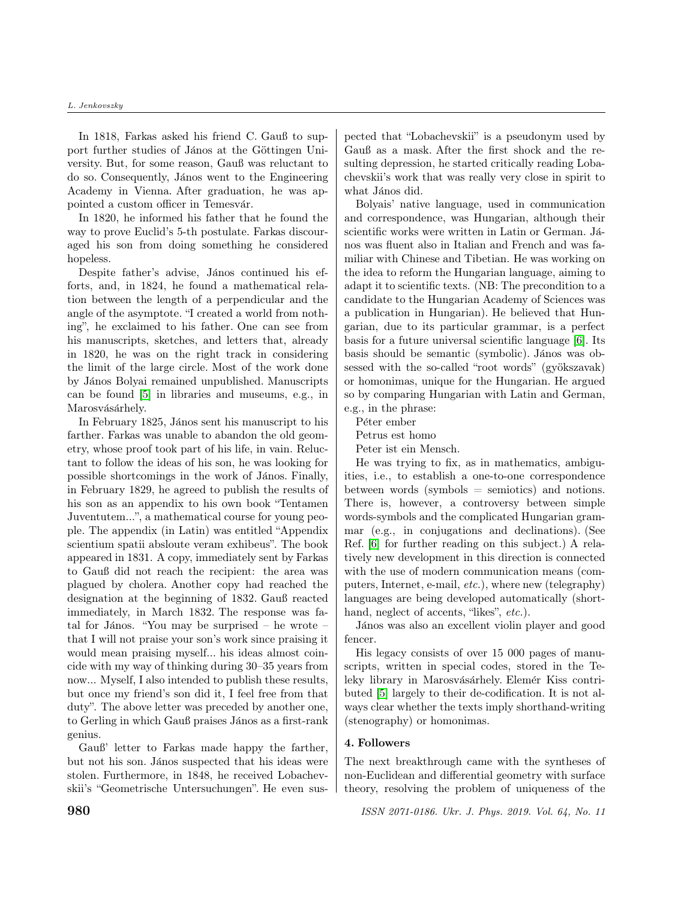#### L. Jenkovszky

In 1818, Farkas asked his friend C. Gauß to support further studies of János at the Göttingen University. But, for some reason, Gauß was reluctant to do so. Consequently, János went to the Engineering Academy in Vienna. After graduation, he was appointed a custom officer in Temesvár.

In 1820, he informed his father that he found the way to prove Euclid's 5-th postulate. Farkas discouraged his son from doing something he considered hopeless.

Despite father's advise, János continued his efforts, and, in 1824, he found a mathematical relation between the length of a perpendicular and the angle of the asymptote. "I created a world from nothing", he exclaimed to his father. One can see from his manuscripts, sketches, and letters that, already in 1820, he was on the right track in considering the limit of the large circle. Most of the work done by János Bolyai remained unpublished. Manuscripts can be found [\[5\]](#page-5-3) in libraries and museums, e.g., in Marosvásárhely.

In February 1825, János sent his manuscript to his farther. Farkas was unable to abandon the old geometry, whose proof took part of his life, in vain. Reluctant to follow the ideas of his son, he was looking for possible shortcomings in the work of János. Finally, in February 1829, he agreed to publish the results of his son as an appendix to his own book "Tentamen Juventutem...", a mathematical course for young people. The appendix (in Latin) was entitled "Appendix scientium spatii absloute veram exhibeus". The book appeared in 1831. A copy, immediately sent by Farkas to Gauß did not reach the recipient: the area was plagued by cholera. Another copy had reached the designation at the beginning of 1832. Gauß reacted immediately, in March 1832. The response was fatal for János. "You may be surprised – he wrote – that I will not praise your son's work since praising it would mean praising myself... his ideas almost coincide with my way of thinking during 30–35 years from now... Myself, I also intended to publish these results, but once my friend's son did it, I feel free from that duty". The above letter was preceded by another one, to Gerling in which Gauß praises János as a first-rank genius.

Gauß' letter to Farkas made happy the farther, but not his son. János suspected that his ideas were stolen. Furthermore, in 1848, he received Lobachevskii's "Geometrische Untersuchungen". He even sus-

pected that "Lobachevskii" is a pseudonym used by Gauß as a mask. After the first shock and the resulting depression, he started critically reading Lobachevskii's work that was really very close in spirit to what János did.

Bolyais' native language, used in communication and correspondence, was Hungarian, although their scientific works were written in Latin or German. János was fluent also in Italian and French and was familiar with Chinese and Tibetian. He was working on the idea to reform the Hungarian language, aiming to adapt it to scientific texts. (NB: The precondition to a candidate to the Hungarian Academy of Sciences was a publication in Hungarian). He believed that Hungarian, due to its particular grammar, is a perfect basis for a future universal scientific language [\[6\]](#page-5-4). Its basis should be semantic (symbolic). János was obsessed with the so-called "root words" (gyökszavak) or homonimas, unique for the Hungarian. He argued so by comparing Hungarian with Latin and German, e.g., in the phrase:

Péter ember

Petrus est homo

Peter ist ein Mensch.

He was trying to fix, as in mathematics, ambiguities, i.e., to establish a one-to-one correspondence between words (symbols  $=$  semiotics) and notions. There is, however, a controversy between simple words-symbols and the complicated Hungarian grammar (e.g., in conjugations and declinations). (See Ref. [\[6\]](#page-5-4) for further reading on this subject.) A relatively new development in this direction is connected with the use of modern communication means (computers, Internet, e-mail, etc.), where new (telegraphy) languages are being developed automatically (shorthand, neglect of accents, "likes", etc.).

János was also an excellent violin player and good fencer.

His legacy consists of over 15 000 pages of manuscripts, written in special codes, stored in the Teleky library in Marosvásárhely. Elemér Kiss contributed [\[5\]](#page-5-3) largely to their de-codification. It is not always clear whether the texts imply shorthand-writing (stenography) or homonimas.

### 4. Followers

The next breakthrough came with the syntheses of non-Euclidean and differential geometry with surface theory, resolving the problem of uniqueness of the

**980 ISSN 2071-0186. Ukr. J. Phys. 2019. Vol. 64, No. 11**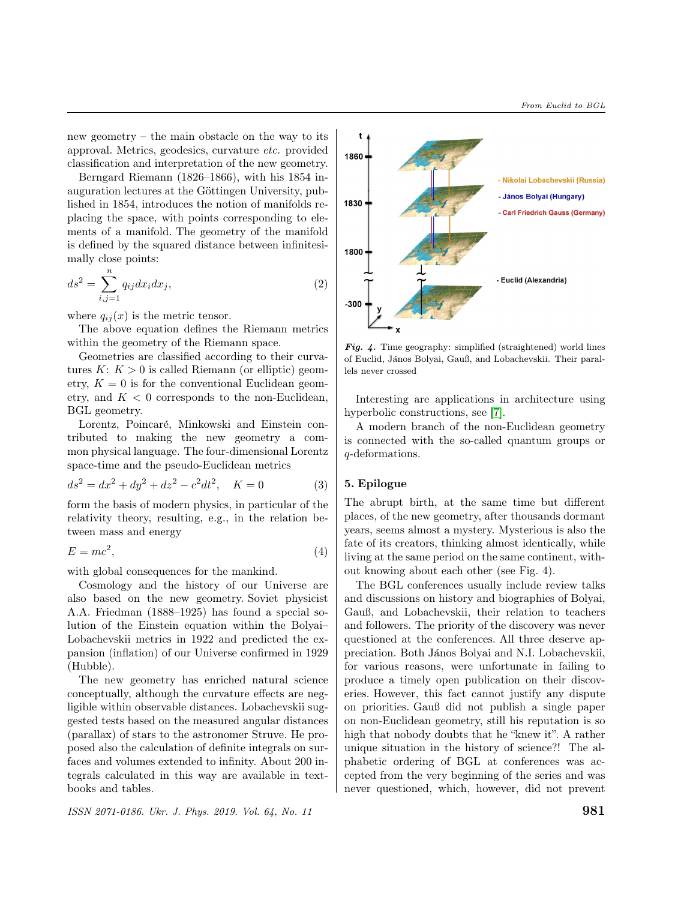new geometry – the main obstacle on the way to its approval. Metrics, geodesics, curvature etc. provided classification and interpretation of the new geometry.

Berngard Riemann (1826–1866), with his 1854 inauguration lectures at the Göttingen University, published in 1854, introduces the notion of manifolds replacing the space, with points corresponding to elements of a manifold. The geometry of the manifold is defined by the squared distance between infinitesimally close points:

$$
ds^2 = \sum_{i,j=1}^n q_{ij} dx_i dx_j,
$$
\n(2)

where  $q_{ij}(x)$  is the metric tensor.

The above equation defines the Riemann metrics within the geometry of the Riemann space.

Geometries are classified according to their curvatures  $K: K > 0$  is called Riemann (or elliptic) geometry,  $K = 0$  is for the conventional Euclidean geometry, and  $K < 0$  corresponds to the non-Euclidean, BGL geometry.

Lorentz, Poincaré, Minkowski and Einstein contributed to making the new geometry a common physical language. The four-dimensional Lorentz space-time and the pseudo-Euclidean metrics

$$
ds^2 = dx^2 + dy^2 + dz^2 - c^2 dt^2, \quad K = 0
$$
 (3)

form the basis of modern physics, in particular of the relativity theory, resulting, e.g., in the relation between mass and energy

$$
E = mc^2,\tag{4}
$$

with global consequences for the mankind.

Cosmology and the history of our Universe are also based on the new geometry. Soviet physicist A.A. Friedman (1888–1925) has found a special solution of the Einstein equation within the Bolyai– Lobachevskii metrics in 1922 and predicted the expansion (inflation) of our Universe confirmed in 1929 (Hubble).

The new geometry has enriched natural science conceptually, although the curvature effects are negligible within observable distances. Lobachevskii suggested tests based on the measured angular distances (parallax) of stars to the astronomer Struve. He proposed also the calculation of definite integrals on surfaces and volumes extended to infinity. About 200 integrals calculated in this way are available in textbooks and tables.



Fig. 4. Time geography: simplified (straightened) world lines of Euclid, János Bolyai, Gauß, and Lobachevskii. Their parallels never crossed

Interesting are applications in architecture using hyperbolic constructions, see [\[7\]](#page-5-5).

A modern branch of the non-Euclidean geometry is connected with the so-called quantum groups or -deformations.

### 5. Epilogue

The abrupt birth, at the same time but different places, of the new geometry, after thousands dormant years, seems almost a mystery. Mysterious is also the fate of its creators, thinking almost identically, while living at the same period on the same continent, without knowing about each other (see Fig. 4).

The BGL conferences usually include review talks and discussions on history and biographies of Bolyai, Gauß, and Lobachevskii, their relation to teachers and followers. The priority of the discovery was never questioned at the conferences. All three deserve appreciation. Both János Bolyai and N.I. Lobachevskii, for various reasons, were unfortunate in failing to produce a timely open publication on their discoveries. However, this fact cannot justify any dispute on priorities. Gauß did not publish a single paper on non-Euclidean geometry, still his reputation is so high that nobody doubts that he "knew it". A rather unique situation in the history of science?! The alphabetic ordering of BGL at conferences was accepted from the very beginning of the series and was never questioned, which, however, did not prevent

 $\text{ISSN 2071-0186.}\ \text{Ukr.}\ \text{J.}$  Phys. 2019. Vol. 64, No. 11  $\text{981}$